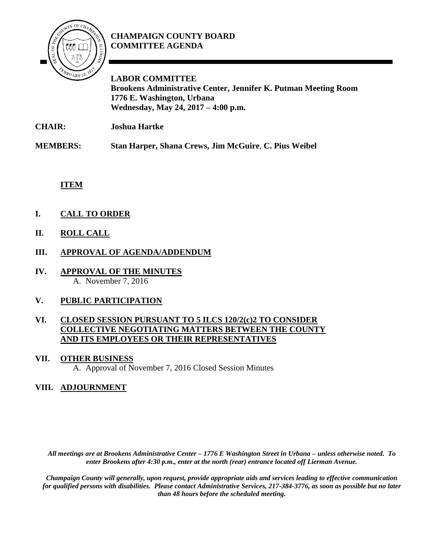

## **CHAMPAIGN COUNTY BOARD COMMITTEE AGENDA**

**LABOR COMMITTEE Brookens Administrative Center, Jennifer K. Putman Meeting Room 1776 E. Washington, Urbana Wednesday, May 24, 2017 – 4:00 p.m.**

**CHAIR: Joshua Hartke**

**MEMBERS: Stan Harper, Shana Crews, Jim McGuire**, **C. Pius Weibel**

**ITEM**

- **I. CALL TO ORDER**
- **II. ROLL CALL**
- **III. APPROVAL OF AGENDA/ADDENDUM**
- **IV. APPROVAL OF THE MINUTES** A. November 7, 2016

# **V. PUBLIC PARTICIPATION**

### **VI. CLOSED SESSION PURSUANT TO 5 ILCS 120/2(c)2 TO CONSIDER COLLECTIVE NEGOTIATING MATTERS BETWEEN THE COUNTY AND ITS EMPLOYEES OR THEIR REPRESENTATIVES**

#### **VII. OTHER BUSINESS**

A. Approval of November 7, 2016 Closed Session Minutes

### **VIII. ADJOURNMENT**

*All meetings are at Brookens Administrative Center – 1776 E Washington Street in Urbana – unless otherwise noted. To enter Brookens after 4:30 p.m., enter at the north (rear) entrance located off Lierman Avenue.* 

*Champaign County will generally, upon request, provide appropriate aids and services leading to effective communication for qualified persons with disabilities. Please contact Administrative Services, 217-384-3776, as soon as possible but no later than 48 hours before the scheduled meeting.*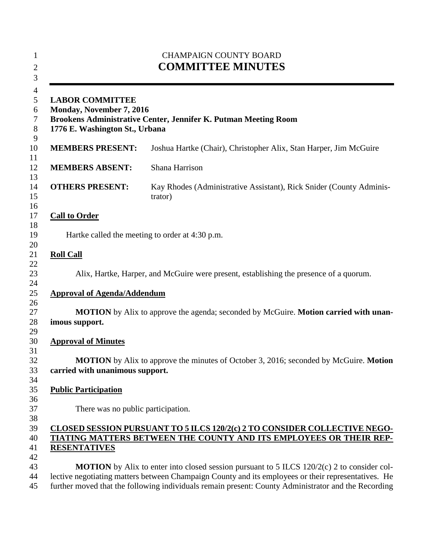| 1<br>$\overline{2}$<br>3   | <b>CHAMPAIGN COUNTY BOARD</b><br><b>COMMITTEE MINUTES</b><br><b>LABOR COMMITTEE</b><br>Monday, November 7, 2016<br>Brookens Administrative Center, Jennifer K. Putman Meeting Room<br>1776 E. Washington St., Urbana                                                                                              |                                                                                |  |
|----------------------------|-------------------------------------------------------------------------------------------------------------------------------------------------------------------------------------------------------------------------------------------------------------------------------------------------------------------|--------------------------------------------------------------------------------|--|
| 4<br>5<br>6<br>7<br>8<br>9 |                                                                                                                                                                                                                                                                                                                   |                                                                                |  |
| 10                         | <b>MEMBERS PRESENT:</b>                                                                                                                                                                                                                                                                                           | Joshua Hartke (Chair), Christopher Alix, Stan Harper, Jim McGuire              |  |
| 11<br>12                   | <b>MEMBERS ABSENT:</b>                                                                                                                                                                                                                                                                                            | Shana Harrison                                                                 |  |
| 13<br>14<br>15<br>16       | <b>OTHERS PRESENT:</b>                                                                                                                                                                                                                                                                                            | Kay Rhodes (Administrative Assistant), Rick Snider (County Adminis-<br>trator) |  |
| 17                         | <b>Call to Order</b>                                                                                                                                                                                                                                                                                              |                                                                                |  |
| 18<br>19                   | Hartke called the meeting to order at 4:30 p.m.                                                                                                                                                                                                                                                                   |                                                                                |  |
| 20<br>21<br>22             | <b>Roll Call</b>                                                                                                                                                                                                                                                                                                  |                                                                                |  |
| 23<br>24                   | Alix, Hartke, Harper, and McGuire were present, establishing the presence of a quorum.                                                                                                                                                                                                                            |                                                                                |  |
| 25                         | <b>Approval of Agenda/Addendum</b>                                                                                                                                                                                                                                                                                |                                                                                |  |
| 26<br>27<br>28<br>29       | MOTION by Alix to approve the agenda; seconded by McGuire. Motion carried with unan-<br>imous support.                                                                                                                                                                                                            |                                                                                |  |
| 30                         | <b>Approval of Minutes</b>                                                                                                                                                                                                                                                                                        |                                                                                |  |
| 31<br>32<br>33<br>34       | <b>MOTION</b> by Alix to approve the minutes of October 3, 2016; seconded by McGuire. Motion<br>carried with unanimous support.                                                                                                                                                                                   |                                                                                |  |
| 35                         | <b>Public Participation</b>                                                                                                                                                                                                                                                                                       |                                                                                |  |
| 36<br>37<br>38             | There was no public participation.                                                                                                                                                                                                                                                                                |                                                                                |  |
| 39<br>40<br>41             | CLOSED SESSION PURSUANT TO 5 ILCS 120/2(c) 2 TO CONSIDER COLLECTIVE NEGO-<br>TIATING MATTERS BETWEEN THE COUNTY AND ITS EMPLOYEES OR THEIR REP-<br><b>RESENTATIVES</b>                                                                                                                                            |                                                                                |  |
| 42<br>43<br>44<br>45       | <b>MOTION</b> by Alix to enter into closed session pursuant to 5 ILCS $120/2(c)$ 2 to consider col-<br>lective negotiating matters between Champaign County and its employees or their representatives. He<br>further moved that the following individuals remain present: County Administrator and the Recording |                                                                                |  |